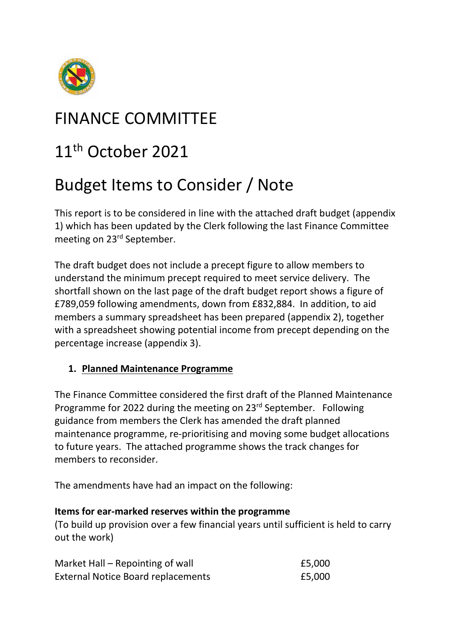

## FINANCE COMMITTEE

## 11<sup>th</sup> October 2021

# Budget Items to Consider / Note

This report is to be considered in line with the attached draft budget (appendix 1) which has been updated by the Clerk following the last Finance Committee meeting on 23rd September.

The draft budget does not include a precept figure to allow members to understand the minimum precept required to meet service delivery. The shortfall shown on the last page of the draft budget report shows a figure of £789,059 following amendments, down from £832,884. In addition, to aid members a summary spreadsheet has been prepared (appendix 2), together with a spreadsheet showing potential income from precept depending on the percentage increase (appendix 3).

## **1. Planned Maintenance Programme**

The Finance Committee considered the first draft of the Planned Maintenance Programme for 2022 during the meeting on 23rd September. Following guidance from members the Clerk has amended the draft planned maintenance programme, re-prioritising and moving some budget allocations to future years. The attached programme shows the track changes for members to reconsider.

The amendments have had an impact on the following:

#### **Items for ear-marked reserves within the programme**

(To build up provision over a few financial years until sufficient is held to carry out the work)

| Market Hall – Repointing of wall          | £5,000 |
|-------------------------------------------|--------|
| <b>External Notice Board replacements</b> | £5,000 |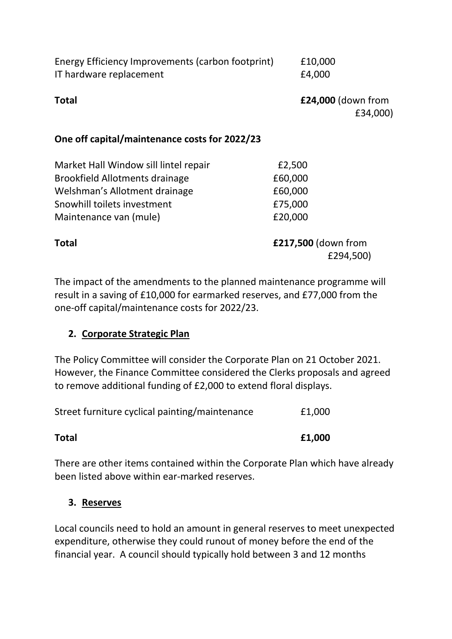| Energy Efficiency Improvements (carbon footprint)<br>IT hardware replacement | £10,000<br>£4,000                |
|------------------------------------------------------------------------------|----------------------------------|
| <b>Total</b>                                                                 | £24,000 (down from<br>£34,000)   |
| One off capital/maintenance costs for 2022/23                                |                                  |
| Market Hall Window sill lintel repair                                        | £2,500                           |
| <b>Brookfield Allotments drainage</b>                                        | £60,000                          |
| Welshman's Allotment drainage                                                | £60,000                          |
| Snowhill toilets investment                                                  | £75,000                          |
| Maintenance van (mule)                                                       | £20,000                          |
| Total                                                                        | £217,500 (down from<br>£294,500) |

The impact of the amendments to the planned maintenance programme will result in a saving of £10,000 for earmarked reserves, and £77,000 from the one-off capital/maintenance costs for 2022/23.

## **2. Corporate Strategic Plan**

The Policy Committee will consider the Corporate Plan on 21 October 2021. However, the Finance Committee considered the Clerks proposals and agreed to remove additional funding of £2,000 to extend floral displays.

| <b>Total</b>                                   | £1,000 |
|------------------------------------------------|--------|
| Street furniture cyclical painting/maintenance | £1,000 |

There are other items contained within the Corporate Plan which have already been listed above within ear-marked reserves.

#### **3. Reserves**

Local councils need to hold an amount in general reserves to meet unexpected expenditure, otherwise they could runout of money before the end of the financial year. A council should typically hold between 3 and 12 months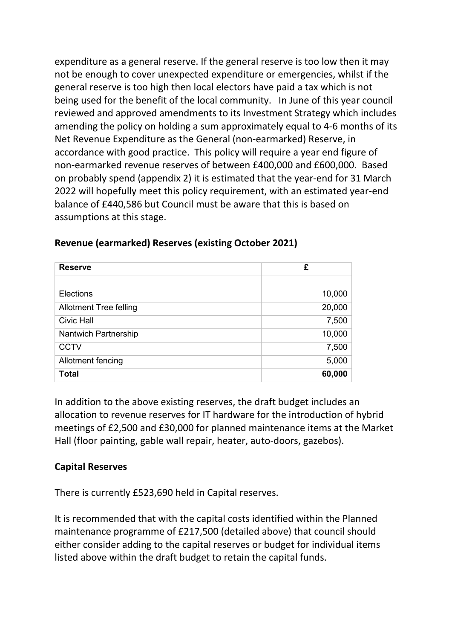expenditure as a general reserve. If the general reserve is too low then it may not be enough to cover unexpected expenditure or emergencies, whilst if the general reserve is too high then local electors have paid a tax which is not being used for the benefit of the local community. In June of this year council reviewed and approved amendments to its Investment Strategy which includes amending the policy on holding a sum approximately equal to 4-6 months of its Net Revenue Expenditure as the General (non-earmarked) Reserve, in accordance with good practice. This policy will require a year end figure of non-earmarked revenue reserves of between £400,000 and £600,000. Based on probably spend (appendix 2) it is estimated that the year-end for 31 March 2022 will hopefully meet this policy requirement, with an estimated year-end balance of £440,586 but Council must be aware that this is based on assumptions at this stage.

| <b>Reserve</b>                | £      |
|-------------------------------|--------|
|                               |        |
| Elections                     | 10,000 |
| <b>Allotment Tree felling</b> | 20,000 |
| <b>Civic Hall</b>             | 7,500  |
| Nantwich Partnership          | 10,000 |
| <b>CCTV</b>                   | 7,500  |
| Allotment fencing             | 5,000  |
| <b>Total</b>                  | 60,000 |

### **Revenue (earmarked) Reserves (existing October 2021)**

In addition to the above existing reserves, the draft budget includes an allocation to revenue reserves for IT hardware for the introduction of hybrid meetings of £2,500 and £30,000 for planned maintenance items at the Market Hall (floor painting, gable wall repair, heater, auto-doors, gazebos).

#### **Capital Reserves**

There is currently £523,690 held in Capital reserves.

It is recommended that with the capital costs identified within the Planned maintenance programme of £217,500 (detailed above) that council should either consider adding to the capital reserves or budget for individual items listed above within the draft budget to retain the capital funds.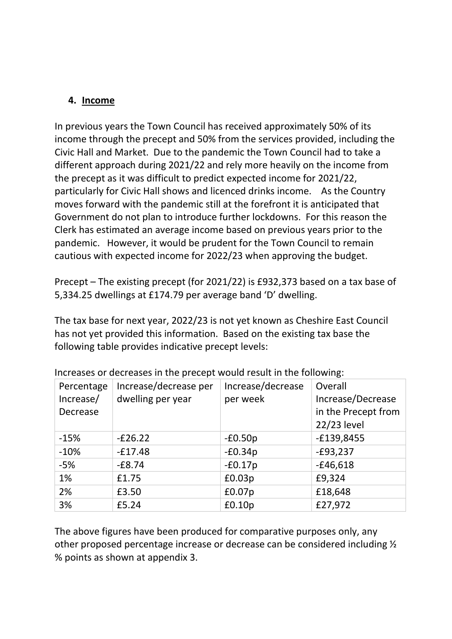## **4. Income**

In previous years the Town Council has received approximately 50% of its income through the precept and 50% from the services provided, including the Civic Hall and Market. Due to the pandemic the Town Council had to take a different approach during 2021/22 and rely more heavily on the income from the precept as it was difficult to predict expected income for 2021/22, particularly for Civic Hall shows and licenced drinks income. As the Country moves forward with the pandemic still at the forefront it is anticipated that Government do not plan to introduce further lockdowns. For this reason the Clerk has estimated an average income based on previous years prior to the pandemic. However, it would be prudent for the Town Council to remain cautious with expected income for 2022/23 when approving the budget.

Precept – The existing precept (for 2021/22) is £932,373 based on a tax base of 5,334.25 dwellings at £174.79 per average band 'D' dwelling.

The tax base for next year, 2022/23 is not yet known as Cheshire East Council has not yet provided this information. Based on the existing tax base the following table provides indicative precept levels:

| Percentage | Increase/decrease per | Increase/decrease | Overall             |
|------------|-----------------------|-------------------|---------------------|
| Increase/  | dwelling per year     | per week          | Increase/Decrease   |
| Decrease   |                       |                   | in the Precept from |
|            |                       |                   | 22/23 level         |
| $-15%$     | $-E26.22$             | $-E0.50p$         | $-£139,8455$        |
| $-10%$     | $-E17.48$             | $-E0.34p$         | $-E93,237$          |
| $-5%$      | $-E8.74$              | $-E0.17p$         | $-£46,618$          |
| 1%         | £1.75                 | £0.03p            | £9,324              |
| 2%         | £3.50                 | £0.07p            | £18,648             |
| 3%         | £5.24                 | £0.10p            | £27,972             |

Increases or decreases in the precept would result in the following:

The above figures have been produced for comparative purposes only, any other proposed percentage increase or decrease can be considered including ½ % points as shown at appendix 3.